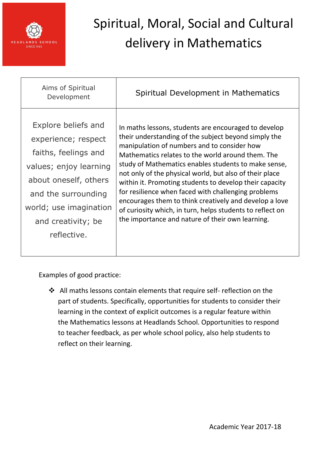

| Explore beliefs and<br>In maths lessons, students are encouraged to develop<br>their understanding of the subject beyond simply the<br>experience; respect<br>manipulation of numbers and to consider how<br>faiths, feelings and<br>Mathematics relates to the world around them. The<br>study of Mathematics enables students to make sense,<br>values; enjoy learning<br>not only of the physical world, but also of their place<br>about oneself, others<br>within it. Promoting students to develop their capacity<br>for resilience when faced with challenging problems<br>and the surrounding<br>encourages them to think creatively and develop a love<br>world; use imagination<br>of curiosity which, in turn, helps students to reflect on<br>the importance and nature of their own learning.<br>and creativity; be<br>reflective. | Aims of Spiritual<br>Development | Spiritual Development in Mathematics |
|-------------------------------------------------------------------------------------------------------------------------------------------------------------------------------------------------------------------------------------------------------------------------------------------------------------------------------------------------------------------------------------------------------------------------------------------------------------------------------------------------------------------------------------------------------------------------------------------------------------------------------------------------------------------------------------------------------------------------------------------------------------------------------------------------------------------------------------------------|----------------------------------|--------------------------------------|
|                                                                                                                                                                                                                                                                                                                                                                                                                                                                                                                                                                                                                                                                                                                                                                                                                                                 |                                  |                                      |

Examples of good practice:

 All maths lessons contain elements that require self- reflection on the part of students. Specifically, opportunities for students to consider their learning in the context of explicit outcomes is a regular feature within the Mathematics lessons at Headlands School. Opportunities to respond to teacher feedback, as per whole school policy, also help students to reflect on their learning.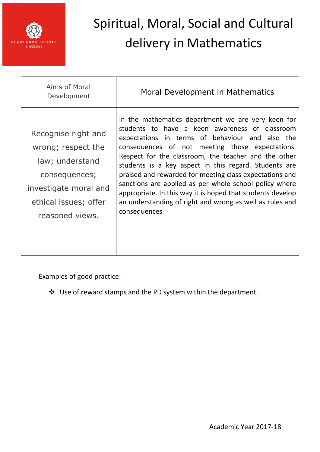

| Aims of Moral<br>Development                                                                                                                       | Moral Development in Mathematics                                                                                                                                                                                                                                                                                                                                                                                                                                                                                                                                                            |
|----------------------------------------------------------------------------------------------------------------------------------------------------|---------------------------------------------------------------------------------------------------------------------------------------------------------------------------------------------------------------------------------------------------------------------------------------------------------------------------------------------------------------------------------------------------------------------------------------------------------------------------------------------------------------------------------------------------------------------------------------------|
| Recognise right and<br>wrong; respect the<br>law; understand<br>consequences;<br>investigate moral and<br>ethical issues; offer<br>reasoned views. | In the mathematics department we are very keen for<br>students to have a keen awareness of classroom<br>expectations in terms of behaviour and also the<br>consequences of not meeting those expectations.<br>Respect for the classroom, the teacher and the other<br>students is a key aspect in this regard. Students are<br>praised and rewarded for meeting class expectations and<br>sanctions are applied as per whole school policy where<br>appropriate. In this way it is hoped that students develop<br>an understanding of right and wrong as well as rules and<br>consequences. |

Examples of good practice:

Use of reward stamps and the PD system within the department.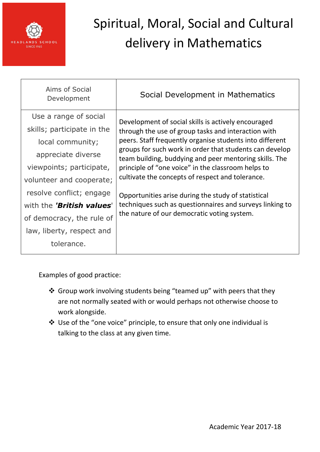

| Aims of Social<br>Development | Social Development in Mathematics                                                                                                                                                                                                                                                                                                                                                                     |
|-------------------------------|-------------------------------------------------------------------------------------------------------------------------------------------------------------------------------------------------------------------------------------------------------------------------------------------------------------------------------------------------------------------------------------------------------|
| Use a range of social         | Development of social skills is actively encouraged<br>through the use of group tasks and interaction with<br>peers. Staff frequently organise students into different<br>groups for such work in order that students can develop<br>team building, buddying and peer mentoring skills. The<br>principle of "one voice" in the classroom helps to<br>cultivate the concepts of respect and tolerance. |
| skills; participate in the    |                                                                                                                                                                                                                                                                                                                                                                                                       |
| local community;              |                                                                                                                                                                                                                                                                                                                                                                                                       |
| appreciate diverse            |                                                                                                                                                                                                                                                                                                                                                                                                       |
| viewpoints; participate,      |                                                                                                                                                                                                                                                                                                                                                                                                       |
| volunteer and cooperate;      |                                                                                                                                                                                                                                                                                                                                                                                                       |
| resolve conflict; engage      | Opportunities arise during the study of statistical                                                                                                                                                                                                                                                                                                                                                   |
| with the 'British values'     | techniques such as questionnaires and surveys linking to                                                                                                                                                                                                                                                                                                                                              |
| of democracy, the rule of     | the nature of our democratic voting system.                                                                                                                                                                                                                                                                                                                                                           |
| law, liberty, respect and     |                                                                                                                                                                                                                                                                                                                                                                                                       |
| tolerance.                    |                                                                                                                                                                                                                                                                                                                                                                                                       |

Examples of good practice:

- Group work involving students being "teamed up" with peers that they are not normally seated with or would perhaps not otherwise choose to work alongside.
- Use of the "one voice" principle, to ensure that only one individual is talking to the class at any given time.